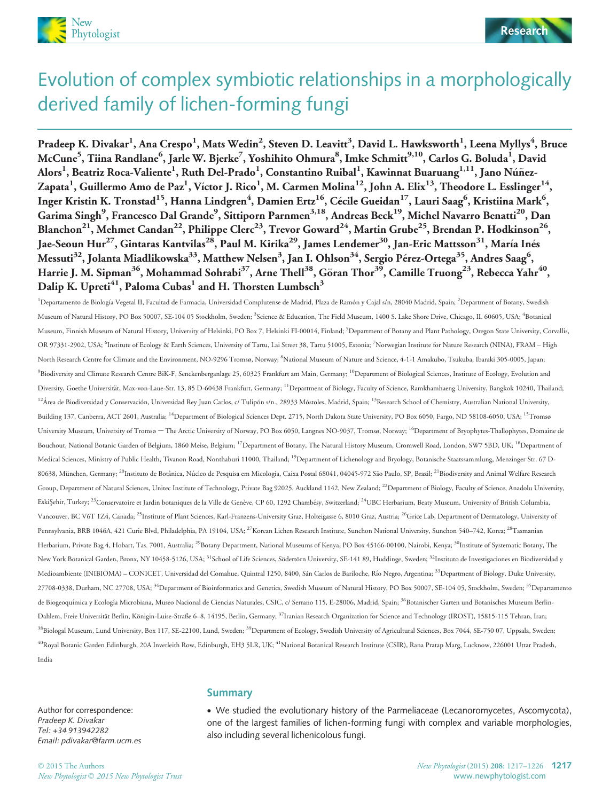



# Evolution of complex symbiotic relationships in a morphologically derived family of lichen-forming fungi

Pradeep K. Divakar<sup>1</sup>, Ana Crespo<sup>1</sup>, Mats Wedin<sup>2</sup>, Steven D. Leavitt<sup>3</sup>, David L. Hawksworth<sup>1</sup>, Leena Myllys<sup>4</sup>, Bruce McCune<sup>5</sup>, Tiina Randlane<sup>6</sup>, Jarle W. Bjerke<sup>7</sup>, Yoshihito Ohmura<sup>8</sup>, Imke Schmitt<sup>9,10</sup>, Carlos G. Boluda<sup>1</sup>, David Alors<sup>1</sup>, Beatriz Roca-Valiente<sup>1</sup>, Ruth Del-Prado<sup>1</sup>, Constantino Ruibal<sup>1</sup>, Kawinnat Buaruang<sup>1,11</sup>, Jano Núñez-Zapata<sup>1</sup>, Guillermo Amo de Paz<sup>1</sup>, Víctor J. Rico<sup>1</sup>, M. Carmen Molina<sup>12</sup>, John A. Elix<sup>13</sup>, Theodore L. Esslinger<sup>14</sup>, Inger Kristin K. Tronstad $^{15}$ , Hanna Lindgren $^4$ , Damien Ertz $^{16}$ , Cécile Gueidan $^{17}$ , Lauri Saag $^6$ , Kristiina Mark $^6$ , Garima Singh<sup>9</sup>, Francesco Dal Grande<sup>9</sup>, Sittiporn Parnmen<sup>3,18</sup>, Andreas Beck<sup>19</sup>, Michel Navarro Benatti<sup>20</sup>, Dan Blanchon<sup>21</sup>, Mehmet Candan<sup>22</sup>, Philippe Clerc<sup>23</sup>, Trevor Goward<sup>24</sup>, Martin Grube<sup>25</sup>, Brendan P. Hodkinson<sup>26</sup>, Jae-Seoun Hur<sup>27</sup>, Gintaras Kantvilas<sup>28</sup>, Paul M. Kirika<sup>29</sup>, James Lendemer<sup>30</sup>, Jan-Eric Mattsson<sup>31</sup>, María Inés Messuti $^{32}$ , Jolanta Miadlikowska $^{33}$ , Matthew Nelsen $^3$ , Jan I. Ohlson $^{34}$ , Sergio Pérez-Ortega $^{35}$ , Andres Saag $^6$ , Harrie J. M. Sipman<sup>36</sup>, Mohammad Sohrabi<sup>37</sup>, Arne Thell<sup>38</sup>, Göran Thor<sup>39</sup>, Camille Truong<sup>23</sup>, Rebecca Yahr<sup>40</sup> Dalip K. Upreti<sup>41</sup>, Paloma Cubas<sup>1</sup> and H. Thorsten Lumbsch<sup>3</sup>

<sup>1</sup>Departamento de Biología Vegetal II, Facultad de Farmacia, Universidad Complutense de Madrid, Plaza de Ramón y Cajal s/n, 28040 Madrid, Spain; <sup>2</sup>Department of Botany, Swedish Museum of Natural History, PO Box 50007, SE-104 05 Stockholm, Sweden; <sup>3</sup>Science & Education, The Field Museum, 1400 S. Lake Shore Drive, Chicago, IL 60605, USA; <sup>4</sup>Botanical Museum, Finnish Museum of Natural History, University of Helsinki, PO Box 7, Helsinki FI-00014, Finland; <sup>5</sup>Department of Botany and Plant Pathology, Oregon State University, Corvallis, OR 97331-2902, USA; <sup>6</sup>Institute of Ecology & Earth Sciences, University of Tartu, Lai Street 38, Tartu 51005, Estonia; <sup>7</sup>Norwegian Institute for Nature Research (NINA), FRAM – High North Research Centre for Climate and the Environment, NO-9296 Tromsø, Norway; <sup>8</sup>National Museum of Nature and Science, 4-1-1 Amakubo, Tsukuba, Ibaraki 305-0005, Japan; <sup>9</sup>Biodiversity and Climate Research Centre BiK-F, Senckenberganlage 25, 60325 Frankfurt am Main, Germany; <sup>10</sup>Department of Biological Sciences, Institute of Ecology, Evolution and Diversity, Goethe Universität, Max-von-Laue-Str. 13, 85 D-60438 Frankfurt, Germany; <sup>11</sup>Department of Biology, Faculty of Science, Ramkhamhaeng University, Bangkok 10240, Thailand; <sup>12</sup>Área de Biodiversidad y Conservación, Universidad Rey Juan Carlos, c/ Tulipón s/n., 28933 Móstoles, Madrid, Spain; <sup>13</sup>Research School of Chemistry, Australian National University, Building 137, Canberra, ACT 2601, Australia; <sup>14</sup>Department of Biological Sciences Dept. 2715, North Dakota State University, PO Box 6050, Fargo, ND 58108-6050, USA; <sup>15</sup>Tromsø University Museum, University of Tromsø – The Arctic University of Norway, PO Box 6050, Langnes NO-9037, Tromsø, Norway; <sup>16</sup>Department of Bryophytes-Thallophytes, Domaine de Bouchout, National Botanic Garden of Belgium, 1860 Meise, Belgium; <sup>17</sup>Department of Botany, The Natural History Museum, Cromwell Road, London, SW7 5BD, UK; <sup>18</sup>Department of Medical Sciences, Ministry of Public Health, Tivanon Road, Nonthaburi 11000, Thailand; <sup>19</sup>Department of Lichenology and Bryology, Botanische Staatssammlung, Menzinger Str. 67 D-80638, München, Germany; <sup>20</sup>Instituto de Botânica, Núcleo de Pesquisa em Micologia, Caixa Postal 68041, 04045-972 São Paulo, SP, Brazil; <sup>21</sup>Biodiversity and Animal Welfare Research Group, Department of Natural Sciences, Unitec Institute of Technology, Private Bag 92025, Auckland 1142, New Zealand; 22Department of Biology, Faculty of Science, Anadolu University, EskiŞehir, Turkey; <sup>23</sup>Conservatoire et Jardin botaniques de la Ville de Genève, CP 60, 1292 Chambésy, Switzerland; <sup>24</sup>UBC Herbarium, Beaty Museum, University of British Columbia, Vancouver, BC V6T 1Z4, Canada; <sup>25</sup>Institute of Plant Sciences, Karl-Franzens-University Graz, Holteigasse 6, 8010 Graz, Austria; <sup>26</sup>Grice Lab, Department of Dermatology, University of Pennsylvania, BRB 1046A, 421 Curie Blvd, Philadelphia, PA 19104, USA; <sup>27</sup>Korean Lichen Research Institute, Sunchon National University, Sunchon 540–742, Korea; <sup>28</sup>Tasmanian Herbarium, Private Bag 4, Hobart, Tas. 7001, Australia; <sup>29</sup>Botany Department, National Museums of Kenya, PO Box 45166-00100, Nairobi, Kenya; <sup>30</sup>Institute of Systematic Botany, The New York Botanical Garden, Bronx, NY 10458-5126, USA; <sup>31</sup>School of Life Sciences, Södertörn University, SE-141 89, Huddinge, Sweden; <sup>32</sup>Instituto de Investigaciones en Biodiversidad y Medioambiente (INIBIOMA) – CONICET, Universidad del Comahue, Quintral 1250, 8400, Sán Carlos de Bariloche, Río Negro, Argentina; <sup>33</sup>Department of Biology, Duke University, 27708-0338, Durham, NC 27708, USA; <sup>34</sup>Department of Bioinformatics and Genetics, Swedish Museum of Natural History, PO Box 50007, SE-104 05, Stockholm, Sweden; <sup>35</sup>Departamento de Biogeoquímica y Ecología Microbiana, Museo Nacional de Ciencias Naturales, CSIC, c/ Serrano 115, E-28006, Madrid, Spain; <sup>36</sup>Botanischer Garten und Botanisches Museum Berlin-Dahlem, Freie Universität Berlin, Königin-Luise-Straße 6–8, 14195, Berlin, Germany; <sup>37</sup>Iranian Research Organization for Science and Technology (IROST), 15815-115 Tehran, Iran; <sup>38</sup>Biologal Museum, Lund University, Box 117, SE-22100, Lund, Sweden; <sup>39</sup>Department of Ecology, Swedish University of Agricultural Sciences, Box 7044, SE-750 07, Uppsala, Sweden; <sup>40</sup>Royal Botanic Garden Edinburgh, 20A Inverleith Row, Edinburgh, EH3 5LR, UK; <sup>41</sup>National Botanical Research Institute (CSIR), Rana Pratap Marg, Lucknow, 226001 Uttar Pradesh, India

Author for correspondence: Pradeep K. Divakar Tel: +34 913942282 Email: pdivakar@farm.ucm.es

#### Summary

 We studied the evolutionary history of the Parmeliaceae (Lecanoromycetes, Ascomycota), one of the largest families of lichen-forming fungi with complex and variable morphologies, also including several lichenicolous fungi.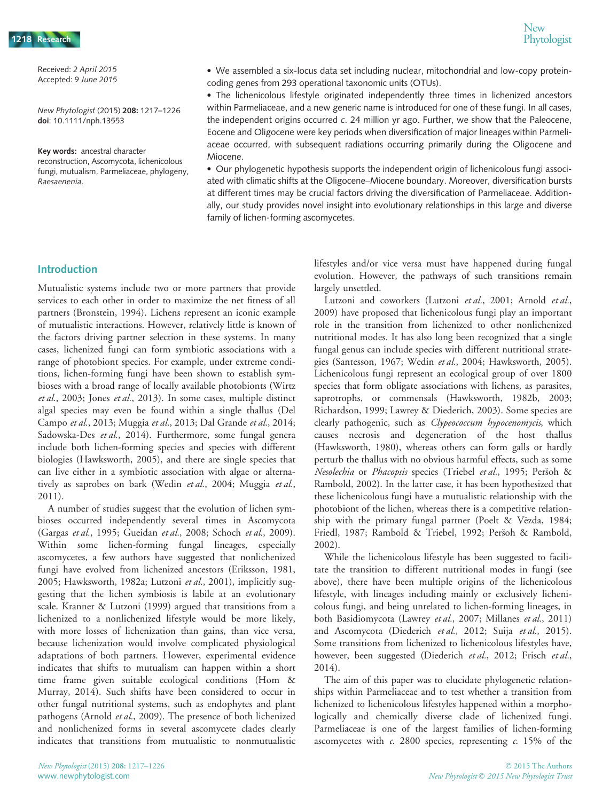Received: 2 April 2015 Accepted: 9 June 2015

New Phytologist (2015) 208: 1217–1226 doi: 10.1111/nph.13553

Key words: ancestral character reconstruction, Ascomycota, lichenicolous fungi, mutualism, Parmeliaceae, phylogeny, Raesaenenia.

 We assembled a six-locus data set including nuclear, mitochondrial and low-copy proteincoding genes from 293 operational taxonomic units (OTUs).

 The lichenicolous lifestyle originated independently three times in lichenized ancestors within Parmeliaceae, and a new generic name is introduced for one of these fungi. In all cases, the independent origins occurred c. 24 million yr ago. Further, we show that the Paleocene, Eocene and Oligocene were key periods when diversification of major lineages within Parmeliaceae occurred, with subsequent radiations occurring primarily during the Oligocene and Miocene.

 Our phylogenetic hypothesis supports the independent origin of lichenicolous fungi associated with climatic shifts at the Oligocene–Miocene boundary. Moreover, diversification bursts at different times may be crucial factors driving the diversification of Parmeliaceae. Additionally, our study provides novel insight into evolutionary relationships in this large and diverse family of lichen-forming ascomycetes.

#### Introduction

Mutualistic systems include two or more partners that provide services to each other in order to maximize the net fitness of all partners (Bronstein, 1994). Lichens represent an iconic example of mutualistic interactions. However, relatively little is known of the factors driving partner selection in these systems. In many cases, lichenized fungi can form symbiotic associations with a range of photobiont species. For example, under extreme conditions, lichen-forming fungi have been shown to establish symbioses with a broad range of locally available photobionts (Wirtz et al., 2003; Jones et al., 2013). In some cases, multiple distinct algal species may even be found within a single thallus (Del Campo et al., 2013; Muggia et al., 2013; Dal Grande et al., 2014; Sadowska-Des et al., 2014). Furthermore, some fungal genera include both lichen-forming species and species with different biologies (Hawksworth, 2005), and there are single species that can live either in a symbiotic association with algae or alternatively as saprobes on bark (Wedin et al., 2004; Muggia et al., 2011).

A number of studies suggest that the evolution of lichen symbioses occurred independently several times in Ascomycota (Gargas et al., 1995; Gueidan et al., 2008; Schoch et al., 2009). Within some lichen-forming fungal lineages, especially ascomycetes, a few authors have suggested that nonlichenized fungi have evolved from lichenized ancestors (Eriksson, 1981, 2005; Hawksworth, 1982a; Lutzoni et al., 2001), implicitly suggesting that the lichen symbiosis is labile at an evolutionary scale. Kranner & Lutzoni (1999) argued that transitions from a lichenized to a nonlichenized lifestyle would be more likely, with more losses of lichenization than gains, than vice versa, because lichenization would involve complicated physiological adaptations of both partners. However, experimental evidence indicates that shifts to mutualism can happen within a short time frame given suitable ecological conditions (Hom & Murray, 2014). Such shifts have been considered to occur in other fungal nutritional systems, such as endophytes and plant pathogens (Arnold et al., 2009). The presence of both lichenized and nonlichenized forms in several ascomycete clades clearly indicates that transitions from mutualistic to nonmutualistic lifestyles and/or vice versa must have happened during fungal evolution. However, the pathways of such transitions remain largely unsettled.

Lutzoni and coworkers (Lutzoni et al., 2001; Arnold et al., 2009) have proposed that lichenicolous fungi play an important role in the transition from lichenized to other nonlichenized nutritional modes. It has also long been recognized that a single fungal genus can include species with different nutritional strategies (Santesson, 1967; Wedin et al., 2004; Hawksworth, 2005). Lichenicolous fungi represent an ecological group of over 1800 species that form obligate associations with lichens, as parasites, saprotrophs, or commensals (Hawksworth, 1982b, 2003; Richardson, 1999; Lawrey & Diederich, 2003). Some species are clearly pathogenic, such as *Clypeococcum hypocenomycis*, which causes necrosis and degeneration of the host thallus (Hawksworth, 1980), whereas others can form galls or hardly perturb the thallus with no obvious harmful effects, such as some Nesolechia or Phacopsis species (Triebel et al., 1995; Peršoh & Rambold, 2002). In the latter case, it has been hypothesized that these lichenicolous fungi have a mutualistic relationship with the photobiont of the lichen, whereas there is a competitive relationship with the primary fungal partner (Poelt & Vězda, 1984; Friedl, 1987; Rambold & Triebel, 1992; Persoh & Rambold, 2002).

While the lichenicolous lifestyle has been suggested to facilitate the transition to different nutritional modes in fungi (see above), there have been multiple origins of the lichenicolous lifestyle, with lineages including mainly or exclusively lichenicolous fungi, and being unrelated to lichen-forming lineages, in both Basidiomycota (Lawrey et al., 2007; Millanes et al., 2011) and Ascomycota (Diederich et al., 2012; Suija et al., 2015). Some transitions from lichenized to lichenicolous lifestyles have, however, been suggested (Diederich et al., 2012; Frisch et al., 2014).

The aim of this paper was to elucidate phylogenetic relationships within Parmeliaceae and to test whether a transition from lichenized to lichenicolous lifestyles happened within a morphologically and chemically diverse clade of lichenized fungi. Parmeliaceae is one of the largest families of lichen-forming ascomycetes with  $c$ . 2800 species, representing  $c$ . 15% of the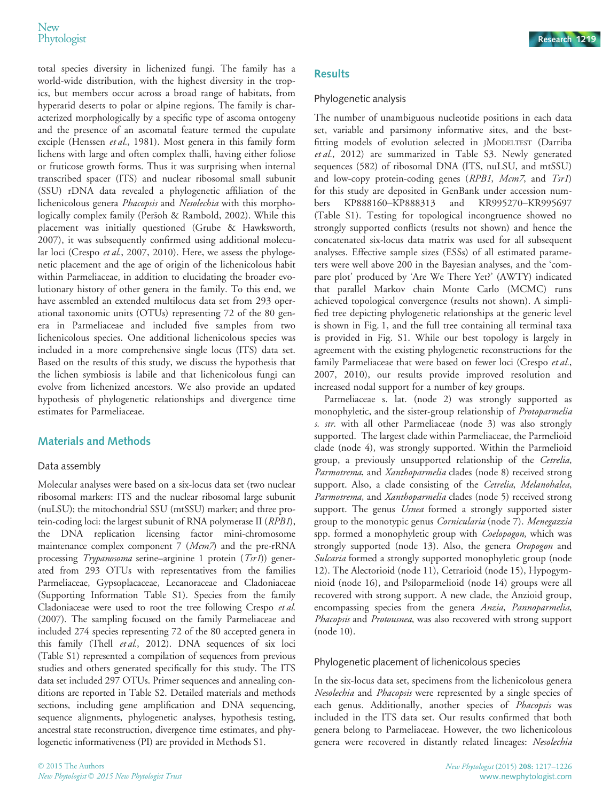total species diversity in lichenized fungi. The family has a world-wide distribution, with the highest diversity in the tropics, but members occur across a broad range of habitats, from hyperarid deserts to polar or alpine regions. The family is characterized morphologically by a specific type of ascoma ontogeny and the presence of an ascomatal feature termed the cupulate exciple (Henssen et al., 1981). Most genera in this family form lichens with large and often complex thalli, having either foliose or fruticose growth forms. Thus it was surprising when internal transcribed spacer (ITS) and nuclear ribosomal small subunit (SSU) rDNA data revealed a phylogenetic affiliation of the lichenicolous genera Phacopsis and Nesolechia with this morphologically complex family (Peršoh & Rambold, 2002). While this placement was initially questioned (Grube & Hawksworth, 2007), it was subsequently confirmed using additional molecular loci (Crespo et al., 2007, 2010). Here, we assess the phylogenetic placement and the age of origin of the lichenicolous habit within Parmeliaceae, in addition to elucidating the broader evolutionary history of other genera in the family. To this end, we have assembled an extended multilocus data set from 293 operational taxonomic units (OTUs) representing 72 of the 80 genera in Parmeliaceae and included five samples from two lichenicolous species. One additional lichenicolous species was included in a more comprehensive single locus (ITS) data set. Based on the results of this study, we discuss the hypothesis that the lichen symbiosis is labile and that lichenicolous fungi can evolve from lichenized ancestors. We also provide an updated hypothesis of phylogenetic relationships and divergence time estimates for Parmeliaceae.

## Materials and Methods

#### Data assembly

Molecular analyses were based on a six-locus data set (two nuclear ribosomal markers: ITS and the nuclear ribosomal large subunit (nuLSU); the mitochondrial SSU (mtSSU) marker; and three protein-coding loci: the largest subunit of RNA polymerase II (RPB1), the DNA replication licensing factor mini-chromosome maintenance complex component 7 (Mcm7) and the pre-rRNA processing Trypanosoma serine–arginine 1 protein (Tsr1)) generated from 293 OTUs with representatives from the families Parmeliaceae, Gypsoplacaceae, Lecanoraceae and Cladoniaceae (Supporting Information Table S1). Species from the family Cladoniaceae were used to root the tree following Crespo et al. (2007). The sampling focused on the family Parmeliaceae and included 274 species representing 72 of the 80 accepted genera in this family (Thell et al., 2012). DNA sequences of six loci (Table S1) represented a compilation of sequences from previous studies and others generated specifically for this study. The ITS data set included 297 OTUs. Primer sequences and annealing conditions are reported in Table S2. Detailed materials and methods sections, including gene amplification and DNA sequencing, sequence alignments, phylogenetic analyses, hypothesis testing, ancestral state reconstruction, divergence time estimates, and phylogenetic informativeness (PI) are provided in Methods S1.

## **Results**

## Phylogenetic analysis

The number of unambiguous nucleotide positions in each data set, variable and parsimony informative sites, and the bestfitting models of evolution selected in JMODELTEST (Darriba et al., 2012) are summarized in Table S3. Newly generated sequences (582) of ribosomal DNA (ITS, nuLSU, and mtSSU) and low-copy protein-coding genes  $(RPBI, Mcm7, and Tsr1)$ for this study are deposited in GenBank under accession numbers [KP888160](http://www.ncbi.nlm.nih.gov/nuccore/KP888160)–[KP888313](http://www.ncbi.nlm.nih.gov/nuccore/KP888313) and [KR995270](http://www.ncbi.nlm.nih.gov/nuccore/KR995270)–[KR995697](http://www.ncbi.nlm.nih.gov/nuccore/KR995697) (Table S1). Testing for topological incongruence showed no strongly supported conflicts (results not shown) and hence the concatenated six-locus data matrix was used for all subsequent analyses. Effective sample sizes (ESSs) of all estimated parameters were well above 200 in the Bayesian analyses, and the 'compare plot' produced by 'Are We There Yet?' (AWTY) indicated that parallel Markov chain Monte Carlo (MCMC) runs achieved topological convergence (results not shown). A simplified tree depicting phylogenetic relationships at the generic level is shown in Fig. 1, and the full tree containing all terminal taxa is provided in Fig. S1. While our best topology is largely in agreement with the existing phylogenetic reconstructions for the family Parmeliaceae that were based on fewer loci (Crespo et al., 2007, 2010), our results provide improved resolution and increased nodal support for a number of key groups.

Parmeliaceae s. lat. (node 2) was strongly supported as monophyletic, and the sister-group relationship of Protoparmelia s. str. with all other Parmeliaceae (node 3) was also strongly supported. The largest clade within Parmeliaceae, the Parmelioid clade (node 4), was strongly supported. Within the Parmelioid group, a previously unsupported relationship of the Cetrelia, Parmotrema, and Xanthoparmelia clades (node 8) received strong support. Also, a clade consisting of the Cetrelia, Melanohalea, Parmotrema, and Xanthoparmelia clades (node 5) received strong support. The genus *Usnea* formed a strongly supported sister group to the monotypic genus Cornicularia (node 7). Menegazzia spp. formed a monophyletic group with Coelopogon, which was strongly supported (node 13). Also, the genera Oropogon and Sulcaria formed a strongly supported monophyletic group (node 12). The Alectorioid (node 11), Cetrarioid (node 15), Hypogymnioid (node 16), and Psiloparmelioid (node 14) groups were all recovered with strong support. A new clade, the Anzioid group, encompassing species from the genera Anzia, Pannoparmelia, *Phacopsis* and *Protousnea*, was also recovered with strong support (node 10).

#### Phylogenetic placement of lichenicolous species

In the six-locus data set, specimens from the lichenicolous genera Nesolechia and Phacopsis were represented by a single species of each genus. Additionally, another species of Phacopsis was included in the ITS data set. Our results confirmed that both genera belong to Parmeliaceae. However, the two lichenicolous genera were recovered in distantly related lineages: Nesolechia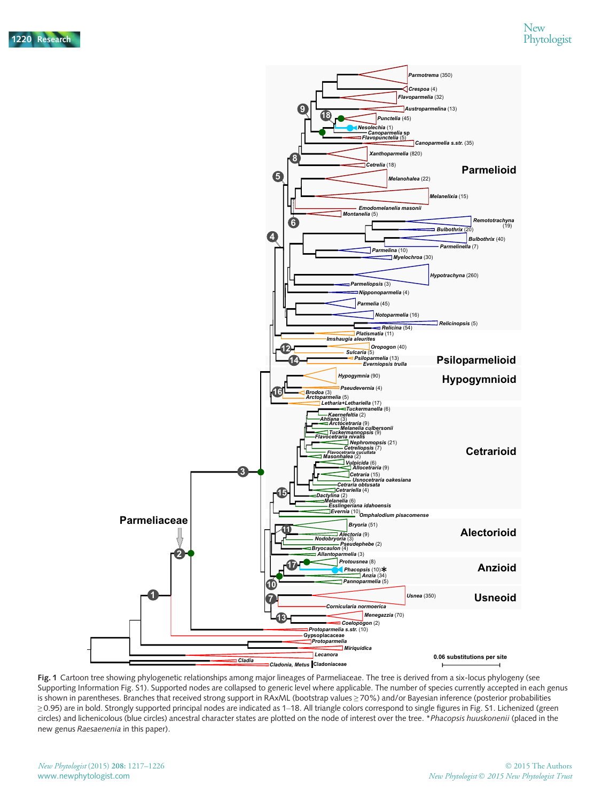

Fig. 1 Cartoon tree showing phylogenetic relationships among major lineages of Parmeliaceae. The tree is derived from a six-locus phylogeny (see Supporting Information Fig. S1). Supported nodes are collapsed to generic level where applicable. The number of species currently accepted in each genus is shown in parentheses. Branches that received strong support in RAxML (bootstrap values ≥ 70%) and/or Bayesian inference (posterior probabilities ≥ 0.95) are in bold. Strongly supported principal nodes are indicated as 1–18. All triangle colors correspond to single figures in Fig. S1. Lichenized (green circles) and lichenicolous (blue circles) ancestral character states are plotted on the node of interest over the tree. \*Phacopsis huuskonenii (placed in the new genus Raesaenenia in this paper).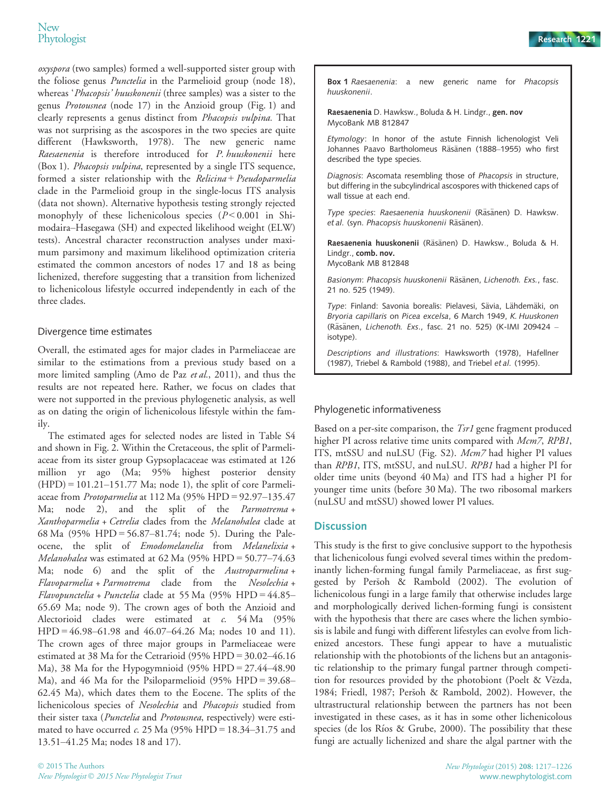oxyspora (two samples) formed a well-supported sister group with the foliose genus *Punctelia* in the Parmelioid group (node 18), whereas 'Phacopsis' huuskonenii (three samples) was a sister to the genus Protousnea (node 17) in the Anzioid group (Fig. 1) and clearly represents a genus distinct from Phacopsis vulpina. That was not surprising as the ascospores in the two species are quite different (Hawksworth, 1978). The new generic name Raesaenenia is therefore introduced for P. huuskonenii here (Box 1). Phacopsis vulpina, represented by a single ITS sequence, formed a sister relationship with the Relicina + Pseudoparmelia clade in the Parmelioid group in the single-locus ITS analysis (data not shown). Alternative hypothesis testing strongly rejected monophyly of these lichenicolous species  $(P < 0.001$  in Shimodaira–Hasegawa (SH) and expected likelihood weight (ELW) tests). Ancestral character reconstruction analyses under maximum parsimony and maximum likelihood optimization criteria estimated the common ancestors of nodes 17 and 18 as being lichenized, therefore suggesting that a transition from lichenized to lichenicolous lifestyle occurred independently in each of the three clades.

#### Divergence time estimates

Overall, the estimated ages for major clades in Parmeliaceae are similar to the estimations from a previous study based on a more limited sampling (Amo de Paz et al., 2011), and thus the results are not repeated here. Rather, we focus on clades that were not supported in the previous phylogenetic analysis, as well as on dating the origin of lichenicolous lifestyle within the family.

The estimated ages for selected nodes are listed in Table S4 and shown in Fig. 2. Within the Cretaceous, the split of Parmeliaceae from its sister group Gypsoplacaceae was estimated at 126 million yr ago (Ma; 95% highest posterior density  $(HPD) = 101.21 - 151.77$  Ma; node 1), the split of core Parmeliaceae from Protoparmelia at 112 Ma (95% HPD = 92.97–135.47 Ma; node 2), and the split of the *Parmotrema* + Xanthoparmelia + Cetrelia clades from the Melanohalea clade at 68 Ma (95% HPD = 56.87–81.74; node 5). During the Paleocene, the split of Emodomelanelia from Melanelixia + Melanohalea was estimated at 62 Ma (95% HPD = 50.77–74.63 Ma; node 6) and the split of the Austroparmelina + Flavoparmelia + Parmotrema clade from the Nesolechia + Flavopunctelia + Punctelia clade at 55 Ma  $(95\% \text{ HPD} = 44.85 -$ 65.69 Ma; node 9). The crown ages of both the Anzioid and Alectorioid clades were estimated at c. 54 Ma (95% HPD = 46.98–61.98 and 46.07–64.26 Ma; nodes 10 and 11). The crown ages of three major groups in Parmeliaceae were estimated at 38 Ma for the Cetrarioid (95% HPD = 30.02–46.16 Ma), 38 Ma for the Hypogymnioid (95% HPD =  $27.44-48.90$ Ma), and 46 Ma for the Psiloparmelioid (95% HPD = 39.68– 62.45 Ma), which dates them to the Eocene. The splits of the lichenicolous species of Nesolechia and Phacopsis studied from their sister taxa (*Punctelia* and *Protousnea*, respectively) were estimated to have occurred  $c$ . 25 Ma (95% HPD = 18.34-31.75 and 13.51–41.25 Ma; nodes 18 and 17).

Box 1 Raesaenenia: a new generic name for Phacopsis huuskonenii.

Raesaenenia D. Hawksw., Boluda & H. Lindgr., gen. nov MycoBank MB 812847

Etymology: In honor of the astute Finnish lichenologist Veli Johannes Paavo Bartholomeus Räsänen (1888–1955) who first described the type species.

Diagnosis: Ascomata resembling those of Phacopsis in structure, but differing in the subcylindrical ascospores with thickened caps of wall tissue at each end.

Type species: Raesaenenia huuskonenii (Räsänen) D. Hawksw. et al. (syn. Phacopsis huuskonenii Räsänen).

Raesaenenia huuskonenii (Räsänen) D. Hawksw., Boluda & H. Lindgr., comb. nov. MycoBank MB 812848

Basionym: Phacopsis huuskonenii Räsänen, Lichenoth. Exs., fasc. 21 no. 525 (1949).

Type: Finland: Savonia borealis: Pielavesi, Sävia, Lähdemäki, on Bryoria capillaris on Picea excelsa, 6 March 1949, K. Huuskonen (Räsänen, Lichenoth. Exs., fasc. 21 no. 525) (K-IMI 209424 – isotype).

Descriptions and illustrations: Hawksworth (1978), Hafellner (1987), Triebel & Rambold (1988), and Triebel et al. (1995).

#### Phylogenetic informativeness

Based on a per-site comparison, the *Tsr1* gene fragment produced higher PI across relative time units compared with Mcm7, RPB1, ITS, mtSSU and nuLSU (Fig. S2). Mcm7 had higher PI values than RPB1, ITS, mtSSU, and nuLSU. RPB1 had a higher PI for older time units (beyond 40 Ma) and ITS had a higher PI for younger time units (before 30 Ma). The two ribosomal markers (nuLSU and mtSSU) showed lower PI values.

#### **Discussion**

This study is the first to give conclusive support to the hypothesis that lichenicolous fungi evolved several times within the predominantly lichen-forming fungal family Parmeliaceae, as first suggested by Persoh & Rambold (2002). The evolution of lichenicolous fungi in a large family that otherwise includes large and morphologically derived lichen-forming fungi is consistent with the hypothesis that there are cases where the lichen symbiosis is labile and fungi with different lifestyles can evolve from lichenized ancestors. These fungi appear to have a mutualistic relationship with the photobionts of the lichens but an antagonistic relationship to the primary fungal partner through competition for resources provided by the photobiont (Poelt & Vězda, 1984; Friedl, 1987; Persoh & Rambold, 2002). However, the ultrastructural relationship between the partners has not been investigated in these cases, as it has in some other lichenicolous species (de los Ríos & Grube, 2000). The possibility that these fungi are actually lichenized and share the algal partner with the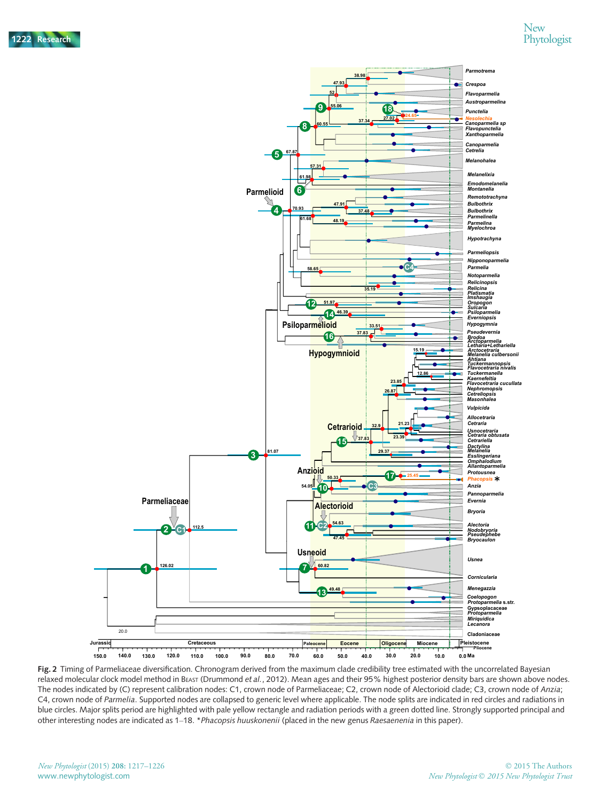

Fig. 2 Timing of Parmeliaceae diversification. Chronogram derived from the maximum clade credibility tree estimated with the uncorrelated Bayesian relaxed molecular clock model method in BEAST (Drummond et al., 2012). Mean ages and their 95% highest posterior density bars are shown above nodes. The nodes indicated by (C) represent calibration nodes: C1, crown node of Parmeliaceae; C2, crown node of Alectorioid clade; C3, crown node of Anzia; C4, crown node of Parmelia. Supported nodes are collapsed to generic level where applicable. The node splits are indicated in red circles and radiations in blue circles. Major splits period are highlighted with pale yellow rectangle and radiation periods with a green dotted line. Strongly supported principal and other interesting nodes are indicated as 1–18. \*Phacopsis huuskonenii (placed in the new genus Raesaenenia in this paper).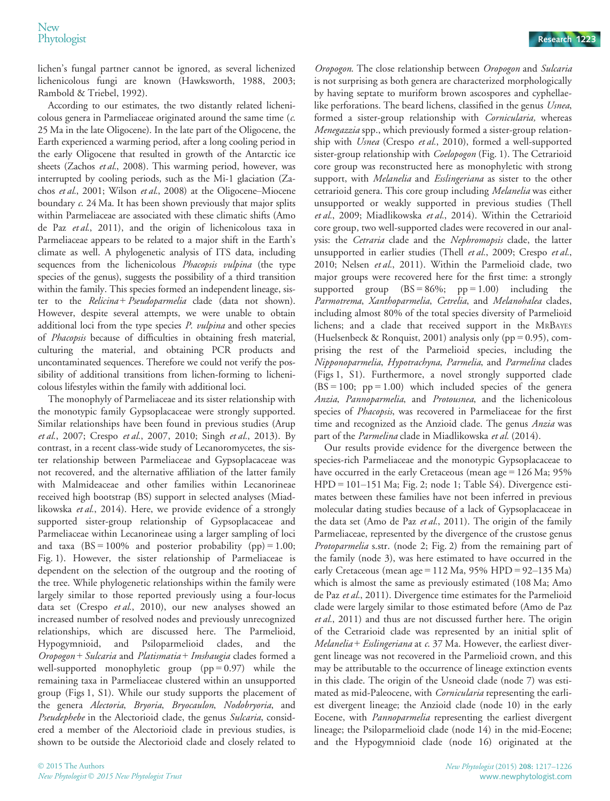lichen's fungal partner cannot be ignored, as several lichenized lichenicolous fungi are known (Hawksworth, 1988, 2003; Rambold & Triebel, 1992).

According to our estimates, the two distantly related lichenicolous genera in Parmeliaceae originated around the same time (c. 25 Ma in the late Oligocene). In the late part of the Oligocene, the Earth experienced a warming period, after a long cooling period in the early Oligocene that resulted in growth of the Antarctic ice sheets (Zachos et al., 2008). This warming period, however, was interrupted by cooling periods, such as the Mi-1 glaciation (Zachos et al., 2001; Wilson et al., 2008) at the Oligocene–Miocene boundary c. 24 Ma. It has been shown previously that major splits within Parmeliaceae are associated with these climatic shifts (Amo de Paz et al., 2011), and the origin of lichenicolous taxa in Parmeliaceae appears to be related to a major shift in the Earth's climate as well. A phylogenetic analysis of ITS data, including sequences from the lichenicolous Phacopsis vulpina (the type species of the genus), suggests the possibility of a third transition within the family. This species formed an independent lineage, sister to the *Relicina* + *Pseudoparmelia* clade (data not shown). However, despite several attempts, we were unable to obtain additional loci from the type species *P. vulpina* and other species of Phacopsis because of difficulties in obtaining fresh material, culturing the material, and obtaining PCR products and uncontaminated sequences. Therefore we could not verify the possibility of additional transitions from lichen-forming to lichenicolous lifestyles within the family with additional loci.

The monophyly of Parmeliaceae and its sister relationship with the monotypic family Gypsoplacaceae were strongly supported. Similar relationships have been found in previous studies (Arup et al., 2007; Crespo et al., 2007, 2010; Singh et al., 2013). By contrast, in a recent class-wide study of Lecanoromycetes, the sister relationship between Parmeliaceae and Gypsoplacaceae was not recovered, and the alternative affiliation of the latter family with Malmideaceae and other families within Lecanorineae received high bootstrap (BS) support in selected analyses (Miadlikowska et al., 2014). Here, we provide evidence of a strongly supported sister-group relationship of Gypsoplacaceae and Parmeliaceae within Lecanorineae using a larger sampling of loci and taxa  $(BS = 100\%$  and posterior probability  $(pp) = 1.00$ ; Fig. 1). However, the sister relationship of Parmeliaceae is dependent on the selection of the outgroup and the rooting of the tree. While phylogenetic relationships within the family were largely similar to those reported previously using a four-locus data set (Crespo et al., 2010), our new analyses showed an increased number of resolved nodes and previously unrecognized relationships, which are discussed here. The Parmelioid, Hypogymnioid, and Psiloparmelioid clades, and the Oropogon + Sulcaria and Platismatia + Imshaugia clades formed a well-supported monophyletic group  $(pp = 0.97)$  while the remaining taxa in Parmeliaceae clustered within an unsupported group (Figs 1, S1). While our study supports the placement of the genera Alectoria, Bryoria, Bryocaulon, Nodobryoria, and Pseudephebe in the Alectorioid clade, the genus Sulcaria, considered a member of the Alectorioid clade in previous studies, is shown to be outside the Alectorioid clade and closely related to

Oropogon. The close relationship between Oropogon and Sulcaria is not surprising as both genera are characterized morphologically by having septate to muriform brown ascospores and cyphellaelike perforations. The beard lichens, classified in the genus Usnea, formed a sister-group relationship with Cornicularia, whereas Menegazzia spp., which previously formed a sister-group relationship with Usnea (Crespo et al., 2010), formed a well-supported sister-group relationship with *Coelopogon* (Fig. 1). The Cetrarioid core group was reconstructed here as monophyletic with strong support, with *Melanelia* and *Esslingeriana* as sister to the other cetrarioid genera. This core group including Melanelia was either unsupported or weakly supported in previous studies (Thell et al., 2009; Miadlikowska et al., 2014). Within the Cetrarioid core group, two well-supported clades were recovered in our analysis: the Cetraria clade and the Nephromopsis clade, the latter unsupported in earlier studies (Thell et al., 2009; Crespo et al., 2010; Nelsen et al., 2011). Within the Parmelioid clade, two major groups were recovered here for the first time: a strongly supported group  $(BS = 86\%;$  pp = 1.00) including the Parmotrema, Xanthoparmelia, Cetrelia, and Melanohalea clades, including almost 80% of the total species diversity of Parmelioid lichens; and a clade that received support in the MRBAYES (Huelsenbeck & Ronquist, 2001) analysis only (pp =  $0.95$ ), comprising the rest of the Parmelioid species, including the Nipponoparmelia, Hypotrachyna, Parmelia, and Parmelina clades (Figs 1, S1). Furthermore, a novel strongly supported clade  $(BS = 100; pp = 1.00)$  which included species of the genera Anzia, Pannoparmelia, and Protousnea, and the lichenicolous species of *Phacopsis*, was recovered in Parmeliaceae for the first time and recognized as the Anzioid clade. The genus *Anzia* was part of the Parmelina clade in Miadlikowska et al. (2014).

Our results provide evidence for the divergence between the species-rich Parmeliaceae and the monotypic Gypsoplacaceae to have occurred in the early Cretaceous (mean age = 126 Ma; 95% HPD = 101–151 Ma; Fig. 2; node 1; Table S4). Divergence estimates between these families have not been inferred in previous molecular dating studies because of a lack of Gypsoplacaceae in the data set (Amo de Paz et al., 2011). The origin of the family Parmeliaceae, represented by the divergence of the crustose genus Protoparmelia s.str. (node 2; Fig. 2) from the remaining part of the family (node 3), was here estimated to have occurred in the early Cretaceous (mean age = 112 Ma,  $95\%$  HPD =  $92-135$  Ma) which is almost the same as previously estimated (108 Ma; Amo de Paz et al., 2011). Divergence time estimates for the Parmelioid clade were largely similar to those estimated before (Amo de Paz et al., 2011) and thus are not discussed further here. The origin of the Cetrarioid clade was represented by an initial split of Melanelia + Esslingeriana at  $c$ . 37 Ma. However, the earliest divergent lineage was not recovered in the Parmelioid crown, and this may be attributable to the occurrence of lineage extinction events in this clade. The origin of the Usneoid clade (node 7) was estimated as mid-Paleocene, with Cornicularia representing the earliest divergent lineage; the Anzioid clade (node 10) in the early Eocene, with Pannoparmelia representing the earliest divergent lineage; the Psiloparmelioid clade (node 14) in the mid-Eocene; and the Hypogymnioid clade (node 16) originated at the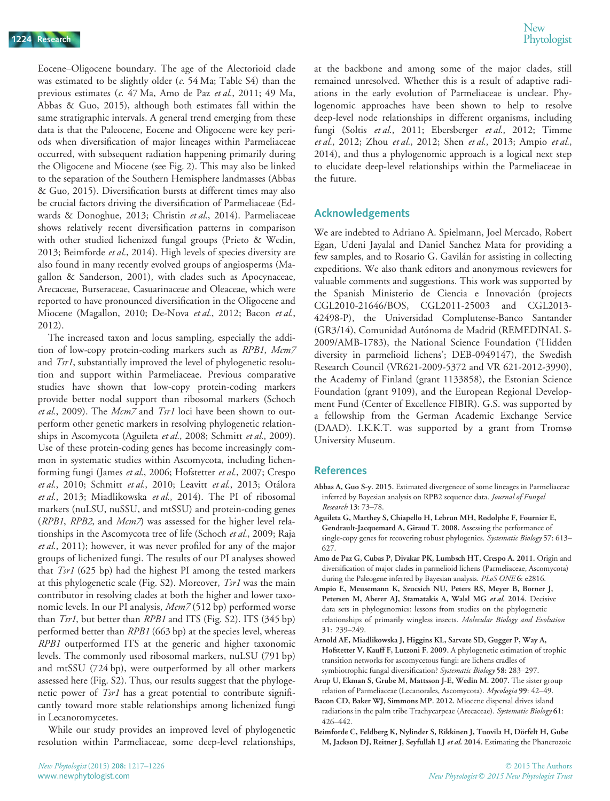Eocene–Oligocene boundary. The age of the Alectorioid clade was estimated to be slightly older (c. 54 Ma; Table S4) than the previous estimates (c. 47 Ma, Amo de Paz et al., 2011; 49 Ma, Abbas & Guo, 2015), although both estimates fall within the same stratigraphic intervals. A general trend emerging from these data is that the Paleocene, Eocene and Oligocene were key periods when diversification of major lineages within Parmeliaceae occurred, with subsequent radiation happening primarily during the Oligocene and Miocene (see Fig. 2). This may also be linked to the separation of the Southern Hemisphere landmasses (Abbas & Guo, 2015). Diversification bursts at different times may also be crucial factors driving the diversification of Parmeliaceae (Edwards & Donoghue, 2013; Christin et al., 2014). Parmeliaceae shows relatively recent diversification patterns in comparison with other studied lichenized fungal groups (Prieto & Wedin, 2013; Beimforde et al., 2014). High levels of species diversity are also found in many recently evolved groups of angiosperms (Magallon & Sanderson, 2001), with clades such as Apocynaceae, Arecaceae, Burseraceae, Casuarinaceae and Oleaceae, which were reported to have pronounced diversification in the Oligocene and Miocene (Magallon, 2010; De-Nova et al., 2012; Bacon et al., 2012).

The increased taxon and locus sampling, especially the addition of low-copy protein-coding markers such as RPB1, Mcm7 and *Tsr1*, substantially improved the level of phylogenetic resolution and support within Parmeliaceae. Previous comparative studies have shown that low-copy protein-coding markers provide better nodal support than ribosomal markers (Schoch et al., 2009). The Mcm7 and Tsr1 loci have been shown to outperform other genetic markers in resolving phylogenetic relationships in Ascomycota (Aguileta et al., 2008; Schmitt et al., 2009). Use of these protein-coding genes has become increasingly common in systematic studies within Ascomycota, including lichenforming fungi (James et al., 2006; Hofstetter et al., 2007; Crespo et al., 2010; Schmitt et al., 2010; Leavitt et al., 2013; Otálora et al., 2013; Miadlikowska et al., 2014). The PI of ribosomal markers (nuLSU, nuSSU, and mtSSU) and protein-coding genes ( $RPB1$ ,  $RPB2$ , and  $Mcm$ ) was assessed for the higher level relationships in the Ascomycota tree of life (Schoch et al., 2009; Raja et al., 2011); however, it was never profiled for any of the major groups of lichenized fungi. The results of our PI analyses showed that Tsr1 (625 bp) had the highest PI among the tested markers at this phylogenetic scale (Fig. S2). Moreover, Tsr1 was the main contributor in resolving clades at both the higher and lower taxonomic levels. In our PI analysis,  $Mcm$ 7 (512 bp) performed worse than *Tsr1*, but better than *RPB1* and ITS (Fig. S2). ITS (345 bp) performed better than RPB1 (663 bp) at the species level, whereas RPB1 outperformed ITS at the generic and higher taxonomic levels. The commonly used ribosomal markers, nuLSU (791 bp) and mtSSU (724 bp), were outperformed by all other markers assessed here (Fig. S2). Thus, our results suggest that the phylogenetic power of Tsr1 has a great potential to contribute significantly toward more stable relationships among lichenized fungi in Lecanoromycetes.

While our study provides an improved level of phylogenetic resolution within Parmeliaceae, some deep-level relationships,

at the backbone and among some of the major clades, still remained unresolved. Whether this is a result of adaptive radiations in the early evolution of Parmeliaceae is unclear. Phylogenomic approaches have been shown to help to resolve deep-level node relationships in different organisms, including fungi (Soltis et al., 2011; Ebersberger et al., 2012; Timme et al., 2012; Zhou et al., 2012; Shen et al., 2013; Ampio et al., 2014), and thus a phylogenomic approach is a logical next step to elucidate deep-level relationships within the Parmeliaceae in the future.

#### Acknowledgements

We are indebted to Adriano A. Spielmann, Joel Mercado, Robert Egan, Udeni Jayalal and Daniel Sanchez Mata for providing a few samples, and to Rosario G. Gavilan for assisting in collecting expeditions. We also thank editors and anonymous reviewers for valuable comments and suggestions. This work was supported by the Spanish Ministerio de Ciencia e Innovación (projects CGL2010-21646/BOS, CGL2011-25003 and CGL2013- 42498-P), the Universidad Complutense-Banco Santander (GR3/14), Comunidad Autónoma de Madrid (REMEDINAL S-2009/AMB-1783), the National Science Foundation ('Hidden diversity in parmelioid lichens'; DEB-0949147), the Swedish Research Council (VR621-2009-5372 and VR 621-2012-3990), the Academy of Finland (grant 1133858), the Estonian Science Foundation (grant 9109), and the European Regional Development Fund (Center of Excellence FIBIR). G.S. was supported by a fellowship from the German Academic Exchange Service (DAAD). I.K.K.T. was supported by a grant from Tromsø University Museum.

#### References

- Abbas A, Guo S-y. 2015. Estimated divergenece of some lineages in Parmeliaceae inferred by Bayesian analysis on RPB2 sequence data. Journal of Fungal Research 13: 73–78.
- Aguileta G, Marthey S, Chiapello H, Lebrun MH, Rodolphe F, Fournier E, Gendrault-Jacquemard A, Giraud T. 2008. Assessing the performance of single-copy genes for recovering robust phylogenies. Systematic Biology 57: 613-627.
- Amo de Paz G, Cubas P, Divakar PK, Lumbsch HT, Crespo A. 2011. Origin and diversification of major clades in parmelioid lichens (Parmeliaceae, Ascomycota) during the Paleogene inferred by Bayesian analysis. PLoS ONE 6: e2816.
- Ampio E, Meusemann K, Szucsich NU, Peters RS, Meyer B, Borner J, Petersen M, Aberer AJ, Stamatakis A, Walsl MG et al. 2014. Decisive data sets in phylogenomics: lessons from studies on the phylogenetic relationships of primarily wingless insects. Molecular Biology and Evolution 31: 239–249.
- Arnold AE, Miadlikowska J, Higgins KL, Sarvate SD, Gugger P, Way A, Hofstetter V, Kauff F, Lutzoni F. 2009. A phylogenetic estimation of trophic transition networks for ascomycetous fungi: are lichens cradles of symbiotrophic fungal diversification? Systematic Biology 58: 283–297.
- Arup U, Ekman S, Grube M, Mattsson J-E, Wedin M. 2007. The sister group relation of Parmeliaceae (Lecanorales, Ascomycota). Mycologia 99: 42–49.
- Bacon CD, Baker WJ, Simmons MP. 2012. Miocene dispersal drives island radiations in the palm tribe Trachycarpeae (Arecaceae). Systematic Biology 61: 426–442.
- Beimforde C, Feldberg K, Nylinder S, Rikkinen J, Tuovila H, Dörfelt H, Gube M, Jackson DJ, Reitner J, Seyfullah LJ et al. 2014. Estimating the Phanerozoic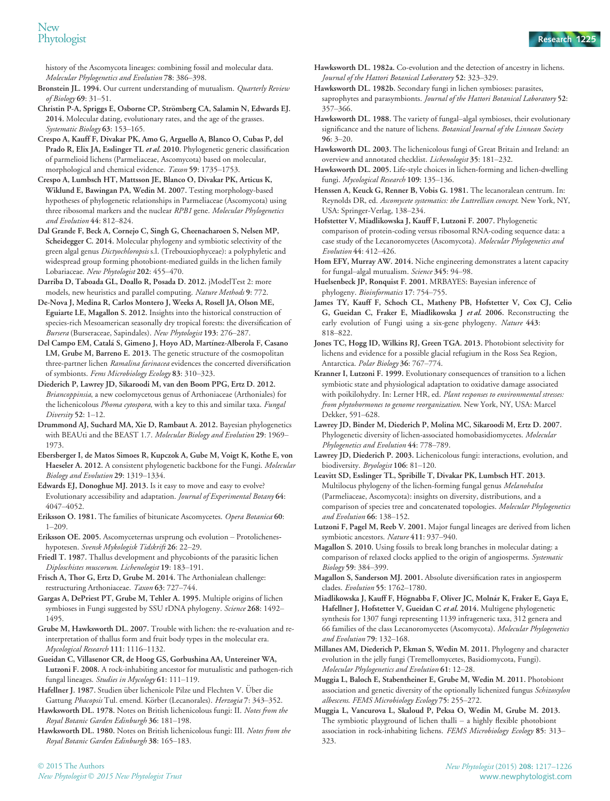history of the Ascomycota lineages: combining fossil and molecular data. Molecular Phylogenetics and Evolution 78: 386–398.

Bronstein JL. 1994. Our current understanding of mutualism. Quarterly Review of Biology 69: 31–51.

Christin P-A, Spriggs E, Osborne CP, Strömberg CA, Salamin N, Edwards EJ. 2014. Molecular dating, evolutionary rates, and the age of the grasses. Systematic Biology 63: 153–165.

Crespo A, Kauff F, Divakar PK, Amo G, Arguello A, Blanco O, Cubas P, del Prado R, Elix JA, Esslinger TL et al. 2010. Phylogenetic generic classification of parmelioid lichens (Parmeliaceae, Ascomycota) based on molecular, morphological and chemical evidence. Taxon 59: 1735-1753.

Crespo A, Lumbsch HT, Mattsson JE, Blanco O, Divakar PK, Articus K, Wiklund E, Bawingan PA, Wedin M. 2007. Testing morphology-based hypotheses of phylogenetic relationships in Parmeliaceae (Ascomycota) using three ribosomal markers and the nuclear RPB1 gene. Molecular Phylogenetics and Evolution 44: 812–824.

Dal Grande F, Beck A, Cornejo C, Singh G, Cheenacharoen S, Nelsen MP, Scheidegger C. 2014. Molecular phylogeny and symbiotic selectivity of the green algal genus Dictyochloropsis s.l. (Trebouxiophyceae): a polyphyletic and widespread group forming photobiont-mediated guilds in the lichen family Lobariaceae. New Phytologist 202: 455–470.

Darriba D, Taboada GL, Doallo R, Posada D. 2012. jModelTest 2: more models, new heuristics and parallel computing. Nature Methods 9: 772.

De-Nova J, Medina R, Carlos Montero J, Weeks A, Rosell JA, Olson ME, Eguiarte LE, Magallon S. 2012. Insights into the historical construction of species-rich Mesoamerican seasonally dry tropical forests: the diversification of Bursera (Burseraceae, Sapindales). New Phytologist 193: 276–287.

Del Campo EM, Catalá S, Gimeno J, Hoyo AD, Martínez-Alberola F, Casano LM, Grube M, Barreno E. 2013. The genetic structure of the cosmopolitan three-partner lichen Ramalina farinacea evidences the concerted diversification of symbionts. Fems Microbiology Ecology 83: 310–323.

Diederich P, Lawrey JD, Sikaroodi M, van den Boom PPG, Ertz D. 2012. Briancoppinsia, a new coelomycetous genus of Arthoniaceae (Arthoniales) for the lichenicolous Phoma cytospora, with a key to this and similar taxa. Fungal Diversity 52: 1–12.

Drummond AJ, Suchard MA, Xie D, Rambaut A. 2012. Bayesian phylogenetics with BEAUti and the BEAST 1.7. Molecular Biology and Evolution 29: 1969– 1973.

Ebersberger I, de Matos Simoes R, Kupczok A, Gube M, Voigt K, Kothe E, von Haeseler A. 2012. A consistent phylogenetic backbone for the Fungi. Molecular Biology and Evolution 29: 1319–1334.

Edwards EJ, Donoghue MJ. 2013. Is it easy to move and easy to evolve? Evolutionary accessibility and adaptation. Journal of Experimental Botany 64: 4047–4052.

Eriksson O. 1981. The families of bitunicate Ascomycetes. Opera Botanica 60: 1–209.

Eriksson OE. 2005. Ascomyceternas ursprung och evolution – Protolicheneshypotesen. Svensk Mykologisk Tidskrift 26: 22–29.

Friedl T. 1987. Thallus development and phycobionts of the parasitic lichen Diploschistes muscorum. Lichenologist 19: 183–191.

Frisch A, Thor G, Ertz D, Grube M. 2014. The Arthonialean challenge: restructuring Arthoniaceae. Taxon 63: 727–744.

Gargas A, DePriest PT, Grube M, Tehler A. 1995. Multiple origins of lichen symbioses in Fungi suggested by SSU rDNA phylogeny. Science 268: 1492-1495.

Grube M, Hawksworth DL. 2007. Trouble with lichen: the re-evaluation and reinterpretation of thallus form and fruit body types in the molecular era. Mycological Research 111: 1116–1132.

Gueidan C, Villasenor CR, de Hoog GS, Gorbushina AA, Untereiner WA, Lutzoni F. 2008. A rock-inhabiting ancestor for mutualistic and pathogen-rich fungal lineages. Studies in Mycology 61: 111–119.

Hafellner J. 1987. Studien über lichenicole Pilze und Flechten V. Über die Gattung Phacopsis Tul. emend. Körber (Lecanorales). Herzogia 7: 343-352. Hawksworth DL. 1978. Notes on British lichenicolous fungi: II. Notes from the

Royal Botanic Garden Edinburgh 36: 181–198.

Hawksworth DL. 1980. Notes on British lichenicolous fungi: III. Notes from the Royal Botanic Garden Edinburgh 38: 165–183.

- Hawksworth DL. 1982a. Co-evolution and the detection of ancestry in lichens. Journal of the Hattori Botanical Laboratory 52: 323–329.
- Hawksworth DL. 1982b. Secondary fungi in lichen symbioses: parasites, saprophytes and parasymbionts. Journal of the Hattori Botanical Laboratory 52: 357–366.

Hawksworth DL. 1988. The variety of fungal–algal symbioses, their evolutionary significance and the nature of lichens. Botanical Journal of the Linnean Society 96: 3–20.

Hawksworth DL. 2003. The lichenicolous fungi of Great Britain and Ireland: an overview and annotated checklist. Lichenologist 35: 181–232.

Hawksworth DL. 2005. Life-style choices in lichen-forming and lichen-dwelling fungi. Mycological Research 109: 135–136.

Henssen A, Keuck G, Renner B, Vobis G. 1981. The lecanoralean centrum. In: Reynolds DR, ed. Ascomycete systematics: the Luttrellian concept. New York, NY, USA: Springer-Verlag, 138–234.

Hofstetter V, Miadlikowska J, Kauff F, Lutzoni F. 2007. Phylogenetic comparison of protein-coding versus ribosomal RNA-coding sequence data: a case study of the Lecanoromycetes (Ascomycota). Molecular Phylogenetics and Evolution 44: 412–426.

Hom EFY, Murray AW. 2014. Niche engineering demonstrates a latent capacity for fungal–algal mutualism. Science 345: 94–98.

Huelsenbeck JP, Ronquist F. 2001. MRBAYES: Bayesian inference of phylogeny. Bioinformatics 17: 754–755.

James TY, Kauff F, Schoch CL, Matheny PB, Hofstetter V, Cox CJ, Celio G, Gueidan C, Fraker E, Miadlikowska J et al. 2006. Reconstructing the early evolution of Fungi using a six-gene phylogeny. Nature 443: 818–822.

Jones TC, Hogg ID, Wilkins RJ, Green TGA. 2013. Photobiont selectivity for lichens and evidence for a possible glacial refugium in the Ross Sea Region, Antarctica. Polar Biology 36: 767–774.

Kranner I, Lutzoni F. 1999. Evolutionary consequences of transition to a lichen symbiotic state and physiological adaptation to oxidative damage associated with poikilohydry. In: Lerner HR, ed. Plant responses to environmental stresses: from phytohormones to genome reorganization. New York, NY, USA: Marcel Dekker, 591–628.

Lawrey JD, Binder M, Diederich P, Molina MC, Sikaroodi M, Ertz D. 2007. Phylogenetic diversity of lichen-associated homobasidiomycetes. Molecular Phylogenetics and Evolution 44: 778–789.

Lawrey JD, Diederich P. 2003. Lichenicolous fungi: interactions, evolution, and biodiversity. Bryologist 106: 81–120.

Leavitt SD, Esslinger TL, Spribille T, Divakar PK, Lumbsch HT. 2013. Multilocus phylogeny of the lichen-forming fungal genus Melanohalea (Parmeliaceae, Ascomycota): insights on diversity, distributions, and a comparison of species tree and concatenated topologies. Molecular Phylogenetics and Evolution 66: 138–152.

Lutzoni F, Pagel M, Reeb V. 2001. Major fungal lineages are derived from lichen symbiotic ancestors. Nature 411: 937–940.

Magallon S. 2010. Using fossils to break long branches in molecular dating: a comparison of relaxed clocks applied to the origin of angiosperms. Systematic Biology 59: 384–399.

Magallon S, Sanderson MJ. 2001. Absolute diversification rates in angiosperm clades. Evolution 55: 1762–1780.

Miadlikowska J, Kauff F, Högnabba F, Oliver JC, Molnár K, Fraker E, Gaya E, Hafellner J, Hofstetter V, Gueidan C et al. 2014. Multigene phylogenetic synthesis for 1307 fungi representing 1139 infrageneric taxa, 312 genera and 66 families of the class Lecanoromycetes (Ascomycota). Molecular Phylogenetics and Evolution 79: 132–168.

Millanes AM, Diederich P, Ekman S, Wedin M. 2011. Phylogeny and character evolution in the jelly fungi (Tremellomycetes, Basidiomycota, Fungi). Molecular Phylogenetics and Evolution 61: 12–28.

Muggia L, Baloch E, Stabentheiner E, Grube M, Wedin M. 2011. Photobiont association and genetic diversity of the optionally lichenized fungus Schizoxylon albescens. FEMS Microbiology Ecology 75: 255–272.

Muggia L, Vancurova L, Skaloud P, Peksa O, Wedin M, Grube M. 2013. The symbiotic playground of lichen thalli – a highly flexible photobiont association in rock-inhabiting lichens. FEMS Microbiology Ecology 85: 313-323.